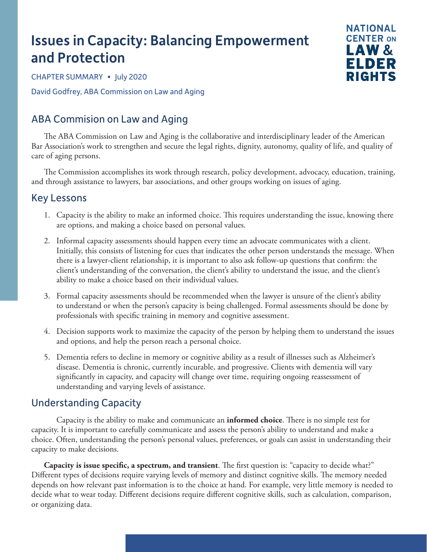# Issues in Capacity: Balancing Empowerment and Protection



CHAPTER SUMMARY • July 2020 David Godfrey, ABA Commission on Law and Aging

# ABA Commision on Law and Aging

The ABA Commission on Law and Aging is the collaborative and interdisciplinary leader of the American Bar Association's work to strengthen and secure the legal rights, dignity, autonomy, quality of life, and quality of care of aging persons.

The Commission accomplishes its work through research, policy development, advocacy, education, training, and through assistance to lawyers, bar associations, and other groups working on issues of aging.

## Key Lessons

- 1. Capacity is the ability to make an informed choice. This requires understanding the issue, knowing there are options, and making a choice based on personal values.
- 2. Informal capacity assessments should happen every time an advocate communicates with a client. Initially, this consists of listening for cues that indicates the other person understands the message. When there is a lawyer-client relationship, it is important to also ask follow-up questions that confirm: the client's understanding of the conversation, the client's ability to understand the issue, and the client's ability to make a choice based on their individual values.
- 3. Formal capacity assessments should be recommended when the lawyer is unsure of the client's ability to understand or when the person's capacity is being challenged. Formal assessments should be done by professionals with specific training in memory and cognitive assessment.
- 4. Decision supports work to maximize the capacity of the person by helping them to understand the issues and options, and help the person reach a personal choice.
- 5. Dementia refers to decline in memory or cognitive ability as a result of illnesses such as Alzheimer's disease. Dementia is chronic, currently incurable, and progressive. Clients with dementia will vary significantly in capacity, and capacity will change over time, requiring ongoing reassessment of understanding and varying levels of assistance.

# Understanding Capacity

Capacity is the ability to make and communicate an **informed choice**. There is no simple test for capacity. It is important to carefully communicate and assess the person's ability to understand and make a choice. Often, understanding the person's personal values, preferences, or goals can assist in understanding their capacity to make decisions.

**Capacity is issue specific, a spectrum, and transient**. The first question is: "capacity to decide what?" Different types of decisions require varying levels of memory and distinct cognitive skills. The memory needed depends on how relevant past information is to the choice at hand. For example, very little memory is needed to decide what to wear today. Different decisions require different cognitive skills, such as calculation, comparison, or organizing data.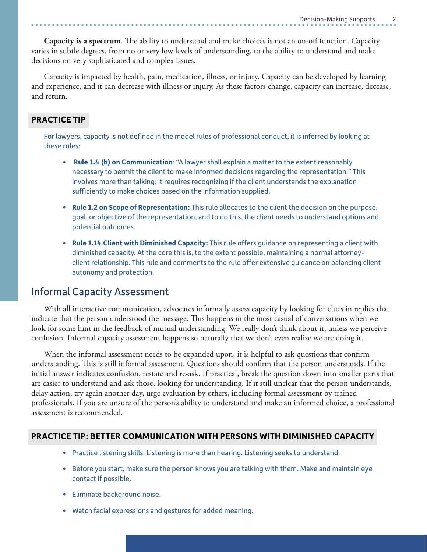**Capacity is a spectrum**. The ability to understand and make choices is not an on-off function. Capacity varies in subtle degrees, from no or very low levels of understanding, to the ability to understand and make decisions on very sophisticated and complex issues.

Capacity is impacted by health, pain, medication, illness, or injury. Capacity can be developed by learning and experience, and it can decrease with illness or injury. As these factors change, capacity can increase, decease, and return.

#### **PRACTICE TIP**

For lawyers, capacity is not defined in the model rules of professional conduct, it is inferred by looking at these rules:

- **Rule 1.4 (b) on Communication**: "A lawyer shall explain a matter to the extent reasonably necessary to permit the client to make informed decisions regarding the representation." This involves more than talking; it requires recognizing if the client understands the explanation sufficiently to make choices based on the information supplied.
- **• Rule 1.2 on Scope of Representation:** This rule allocates to the client the decision on the purpose, goal, or objective of the representation, and to do this, the client needs to understand options and potential outcomes.
- **• Rule 1.14 Client with Diminished Capacity:** This rule offers guidance on representing a client with diminished capacity. At the core this is, to the extent possible, maintaining a normal attorneyclient relationship. This rule and comments to the rule offer extensive guidance on balancing client autonomy and protection.

#### Informal Capacity Assessment

With all interactive communication, advocates informally assess capacity by looking for clues in replies that indicate that the person understood the message. This happens in the most casual of conversations when we look for some hint in the feedback of mutual understanding. We really don't think about it, unless we perceive confusion. Informal capacity assessment happens so naturally that we don't even realize we are doing it.

When the informal assessment needs to be expanded upon, it is helpful to ask questions that confirm understanding. This is still informal assessment. Questions should confirm that the person understands. If the initial answer indicates confusion, restate and re-ask. If practical, break the question down into smaller parts that are easier to understand and ask those, looking for understanding. If it still unclear that the person understands, delay action, try again another day, urge evaluation by others, including formal assessment by trained professionals. If you are unsure of the person's ability to understand and make an informed choice, a professional assessment is recommended.

#### **PRACTICE TIP: BETTER COMMUNICATION WITH PERSONS WITH DIMINISHED CAPACITY**

- Practice listening skills. Listening is more than hearing. Listening seeks to understand.
- Before you start, make sure the person knows you are talking with them. Make and maintain eye contact if possible.
- Eliminate background noise.
- Watch facial expressions and gestures for added meaning.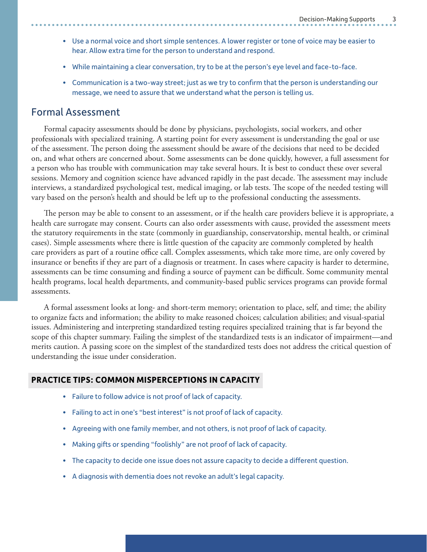- Use a normal voice and short simple sentences. A lower register or tone of voice may be easier to hear. Allow extra time for the person to understand and respond.
- While maintaining a clear conversation, try to be at the person's eye level and face-to-face.
- Communication is a two-way street; just as we try to confirm that the person is understanding our message, we need to assure that we understand what the person is telling us.

## Formal Assessment

Formal capacity assessments should be done by physicians, psychologists, social workers, and other professionals with specialized training. A starting point for every assessment is understanding the goal or use of the assessment. The person doing the assessment should be aware of the decisions that need to be decided on, and what others are concerned about. Some assessments can be done quickly, however, a full assessment for a person who has trouble with communication may take several hours. It is best to conduct these over several sessions. Memory and cognition science have advanced rapidly in the past decade. The assessment may include interviews, a standardized psychological test, medical imaging, or lab tests. The scope of the needed testing will vary based on the person's health and should be left up to the professional conducting the assessments.

The person may be able to consent to an assessment, or if the health care providers believe it is appropriate, a health care surrogate may consent. Courts can also order assessments with cause, provided the assessment meets the statutory requirements in the state (commonly in guardianship, conservatorship, mental health, or criminal cases). Simple assessments where there is little question of the capacity are commonly completed by health care providers as part of a routine office call. Complex assessments, which take more time, are only covered by insurance or benefits if they are part of a diagnosis or treatment. In cases where capacity is harder to determine, assessments can be time consuming and finding a source of payment can be difficult. Some community mental health programs, local health departments, and community-based public services programs can provide formal assessments.

A formal assessment looks at long- and short-term memory; orientation to place, self, and time; the ability to organize facts and information; the ability to make reasoned choices; calculation abilities; and visual-spatial issues. Administering and interpreting standardized testing requires specialized training that is far beyond the scope of this chapter summary. Failing the simplest of the standardized tests is an indicator of impairment—and merits caution. A passing score on the simplest of the standardized tests does not address the critical question of understanding the issue under consideration.

#### **PRACTICE TIPS: COMMON MISPERCEPTIONS IN CAPACITY**

- Failure to follow advice is not proof of lack of capacity.
- Failing to act in one's "best interest" is not proof of lack of capacity.
- Agreeing with one family member, and not others, is not proof of lack of capacity.
- Making gifts or spending "foolishly" are not proof of lack of capacity.
- The capacity to decide one issue does not assure capacity to decide a different question.
- A diagnosis with dementia does not revoke an adult's legal capacity.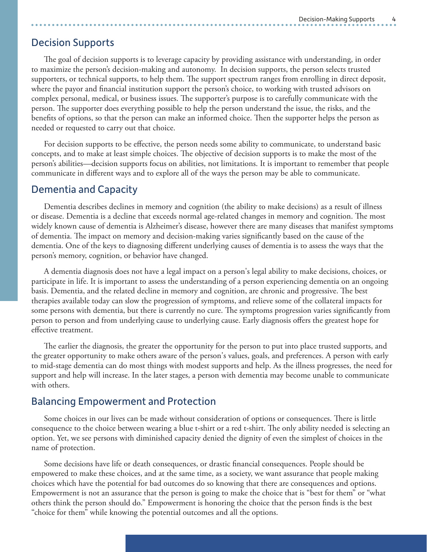## Decision Supports

The goal of decision supports is to leverage capacity by providing assistance with understanding, in order to maximize the person's decision-making and autonomy. In decision supports, the person selects trusted supporters, or technical supports, to help them. The support spectrum ranges from enrolling in direct deposit, where the payor and financial institution support the person's choice, to working with trusted advisors on complex personal, medical, or business issues. The supporter's purpose is to carefully communicate with the person. The supporter does everything possible to help the person understand the issue, the risks, and the benefits of options, so that the person can make an informed choice. Then the supporter helps the person as needed or requested to carry out that choice.

For decision supports to be effective, the person needs some ability to communicate, to understand basic concepts, and to make at least simple choices. The objective of decision supports is to make the most of the person's abilities*—*decision supports focus on abilities, not limitations. It is important to remember that people communicate in different ways and to explore all of the ways the person may be able to communicate.

#### Dementia and Capacity

Dementia describes declines in memory and cognition (the ability to make decisions) as a result of illness or disease. Dementia is a decline that exceeds normal age-related changes in memory and cognition. The most widely known cause of dementia is Alzheimer's disease, however there are many diseases that manifest symptoms of dementia. The impact on memory and decision-making varies significantly based on the cause of the dementia. One of the keys to diagnosing different underlying causes of dementia is to assess the ways that the person's memory, cognition, or behavior have changed.

A dementia diagnosis does not have a legal impact on a person's legal ability to make decisions, choices, or participate in life. It is important to assess the understanding of a person experiencing dementia on an ongoing basis. Dementia, and the related decline in memory and cognition, are chronic and progressive. The best therapies available today can slow the progression of symptoms, and relieve some of the collateral impacts for some persons with dementia, but there is currently no cure. The symptoms progression varies significantly from person to person and from underlying cause to underlying cause. Early diagnosis offers the greatest hope for effective treatment.

The earlier the diagnosis, the greater the opportunity for the person to put into place trusted supports, and the greater opportunity to make others aware of the person's values, goals, and preferences. A person with early to mid-stage dementia can do most things with modest supports and help. As the illness progresses, the need for support and help will increase. In the later stages, a person with dementia may become unable to communicate with others.

## Balancing Empowerment and Protection

Some choices in our lives can be made without consideration of options or consequences. There is little consequence to the choice between wearing a blue t-shirt or a red t-shirt. The only ability needed is selecting an option. Yet, we see persons with diminished capacity denied the dignity of even the simplest of choices in the name of protection.

Some decisions have life or death consequences, or drastic financial consequences. People should be empowered to make these choices, and at the same time, as a society, we want assurance that people making choices which have the potential for bad outcomes do so knowing that there are consequences and options. Empowerment is not an assurance that the person is going to make the choice that is "best for them" or "what others think the person should do." Empowerment is honoring the choice that the person finds is the best "choice for them" while knowing the potential outcomes and all the options.